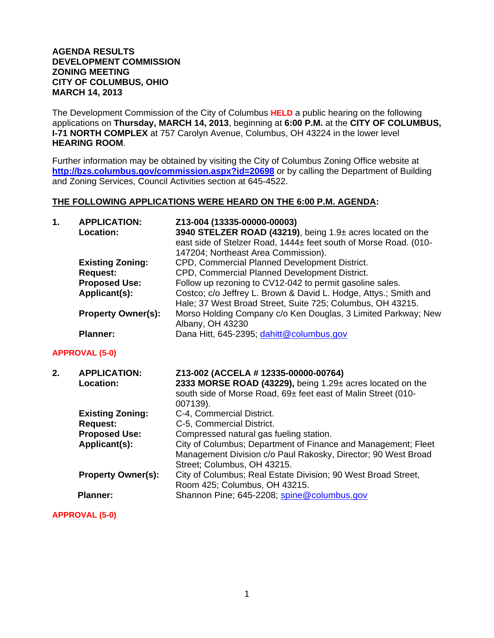## **AGENDA RESULTS DEVELOPMENT COMMISSION ZONING MEETING CITY OF COLUMBUS, OHIO MARCH 14, 2013**

The Development Commission of the City of Columbus **HELD** a public hearing on the following applications on **Thursday, MARCH 14, 2013**, beginning at **6:00 P.M.** at the **CITY OF COLUMBUS, I-71 NORTH COMPLEX** at 757 Carolyn Avenue, Columbus, OH 43224 in the lower level **HEARING ROOM**.

Further information may be obtained by visiting the City of Columbus Zoning Office website at **http://bzs.columbus.gov/commission.aspx?id=20698** or by calling the Department of Building and Zoning Services, Council Activities section at 645-4522.

## **THE FOLLOWING APPLICATIONS WERE HEARD ON THE 6:00 P.M. AGENDA:**

| 1. | <b>APPLICATION:</b><br>Location:        | Z13-004 (13335-00000-00003)<br>3940 STELZER ROAD (43219), being 1.9± acres located on the<br>east side of Stelzer Road, 1444± feet south of Morse Road. (010-<br>147204; Northeast Area Commission). |
|----|-----------------------------------------|------------------------------------------------------------------------------------------------------------------------------------------------------------------------------------------------------|
|    | <b>Existing Zoning:</b>                 | CPD, Commercial Planned Development District.                                                                                                                                                        |
|    | <b>Request:</b>                         | CPD, Commercial Planned Development District.                                                                                                                                                        |
|    | <b>Proposed Use:</b><br>Applicant(s):   | Follow up rezoning to CV12-042 to permit gasoline sales.<br>Costco; c/o Jeffrey L. Brown & David L. Hodge, Attys.; Smith and<br>Hale; 37 West Broad Street, Suite 725; Columbus, OH 43215.           |
|    | <b>Property Owner(s):</b>               | Morso Holding Company c/o Ken Douglas, 3 Limited Parkway; New<br>Albany, OH 43230                                                                                                                    |
|    | <b>Planner:</b>                         | Dana Hitt, 645-2395; dahitt@columbus.gov                                                                                                                                                             |
|    | <b>APPROVAL (5-0)</b>                   |                                                                                                                                                                                                      |
| 2. |                                         |                                                                                                                                                                                                      |
|    | <b>APPLICATION:</b><br><b>Location:</b> | Z13-002 (ACCELA # 12335-00000-00764)<br>2333 MORSE ROAD (43229), being 1.29± acres located on the<br>south side of Morse Road, 69± feet east of Malin Street (010-<br>007139).                       |
|    | <b>Existing Zoning:</b>                 | C-4, Commercial District.                                                                                                                                                                            |
|    | <b>Request:</b>                         | C-5, Commercial District.                                                                                                                                                                            |
|    | <b>Proposed Use:</b>                    | Compressed natural gas fueling station.                                                                                                                                                              |
|    | Applicant(s):                           | City of Columbus; Department of Finance and Management; Fleet<br>Management Division c/o Paul Rakosky, Director; 90 West Broad                                                                       |
|    | <b>Property Owner(s):</b>               | Street; Columbus, OH 43215.<br>City of Columbus; Real Estate Division; 90 West Broad Street,<br>Room 425; Columbus, OH 43215.                                                                        |

**APPROVAL (5-0)**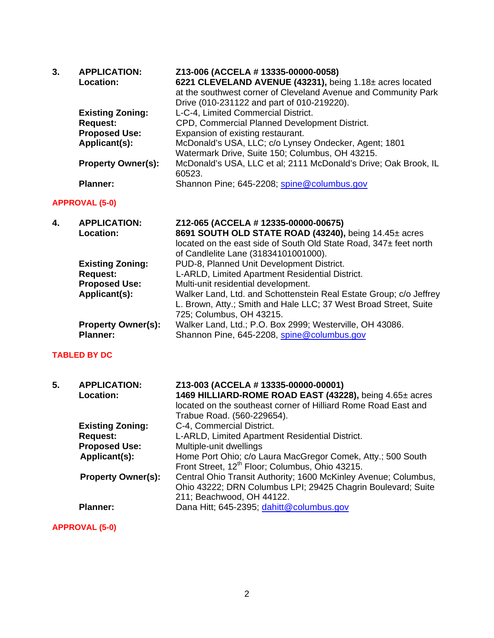| <b>APPLICATION:</b>       | Z13-006 (ACCELA # 13335-00000-0058)                             |
|---------------------------|-----------------------------------------------------------------|
| Location:                 | 6221 CLEVELAND AVENUE (43231), being 1.18± acres located        |
|                           | at the southwest corner of Cleveland Avenue and Community Park  |
|                           | Drive (010-231122 and part of 010-219220).                      |
| <b>Existing Zoning:</b>   | L-C-4, Limited Commercial District.                             |
| <b>Request:</b>           | CPD, Commercial Planned Development District.                   |
| <b>Proposed Use:</b>      | Expansion of existing restaurant.                               |
| Applicant(s):             | McDonald's USA, LLC; c/o Lynsey Ondecker, Agent; 1801           |
|                           | Watermark Drive, Suite 150; Columbus, OH 43215.                 |
| <b>Property Owner(s):</b> | McDonald's USA, LLC et al; 2111 McDonald's Drive; Oak Brook, IL |
|                           | 60523.                                                          |
| <b>Planner:</b>           | Shannon Pine; 645-2208; spine@columbus.gov                      |
|                           |                                                                 |

# **APPROVAL (5-0)**

| 4. | <b>APPLICATION:</b>       | Z12-065 (ACCELA # 12335-00000-00675)                               |
|----|---------------------------|--------------------------------------------------------------------|
|    | <b>Location:</b>          | 8691 SOUTH OLD STATE ROAD (43240), being 14.45± acres              |
|    |                           | located on the east side of South Old State Road, 347± feet north  |
|    |                           | of Candlelite Lane (31834101001000).                               |
|    | <b>Existing Zoning:</b>   | PUD-8, Planned Unit Development District.                          |
|    | <b>Request:</b>           | L-ARLD, Limited Apartment Residential District.                    |
|    | <b>Proposed Use:</b>      | Multi-unit residential development.                                |
|    | Applicant(s):             | Walker Land, Ltd. and Schottenstein Real Estate Group; c/o Jeffrey |
|    |                           | L. Brown, Atty.; Smith and Hale LLC; 37 West Broad Street, Suite   |
|    |                           | 725; Columbus, OH 43215.                                           |
|    | <b>Property Owner(s):</b> | Walker Land, Ltd.; P.O. Box 2999; Westerville, OH 43086.           |
|    | <b>Planner:</b>           | Shannon Pine, 645-2208, spine@columbus.gov                         |

#### **TABLED BY DC**

| 5. | <b>APPLICATION:</b><br>Location: | Z13-003 (ACCELA # 13335-00000-00001)<br>1469 HILLIARD-ROME ROAD EAST (43228), being 4.65± acres<br>located on the southeast corner of Hilliard Rome Road East and<br>Trabue Road. (560-229654). |
|----|----------------------------------|-------------------------------------------------------------------------------------------------------------------------------------------------------------------------------------------------|
|    | <b>Existing Zoning:</b>          | C-4, Commercial District.                                                                                                                                                                       |
|    | <b>Request:</b>                  | L-ARLD, Limited Apartment Residential District.                                                                                                                                                 |
|    | <b>Proposed Use:</b>             | Multiple-unit dwellings                                                                                                                                                                         |
|    | Applicant(s):                    | Home Port Ohio; c/o Laura MacGregor Comek, Atty.; 500 South<br>Front Street, 12 <sup>th</sup> Floor; Columbus, Ohio 43215.                                                                      |
|    | <b>Property Owner(s):</b>        | Central Ohio Transit Authority; 1600 McKinley Avenue; Columbus,<br>Ohio 43222; DRN Columbus LPI; 29425 Chagrin Boulevard; Suite<br>211; Beachwood, OH 44122.                                    |
|    | <b>Planner:</b>                  | Dana Hitt; 645-2395; dahitt@columbus.gov                                                                                                                                                        |

# **APPROVAL (5-0)**